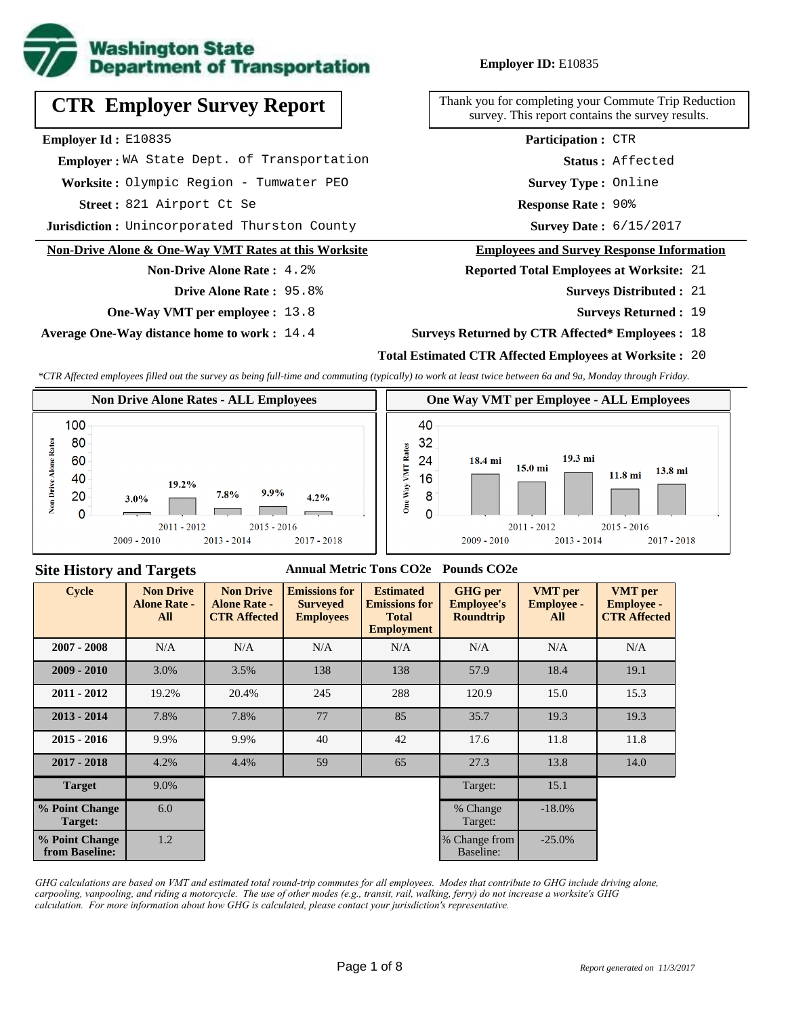

# **CTR Employer Survey Report**

**Employer Id :** E10835

 **Employer :** WA State Dept. of Transportation

**Worksite :** Olympic Region - Tumwater PEO

821 Airport Ct Se **Response Rate : Street :**

**Jurisdiction :** Unincorporated Thurston County **6/15/2017 Survey Date :** 6/15/2017

#### **Non-Drive Alone & One-Way VMT Rates at this Worksite**

# **Non-Drive Alone Rate :** 4.2%

- **Drive Alone Rate :** 95.8%
- **One-Way VMT per employee :** 13.8

**Average One-Way distance home to work :** 14.4

#### **Employer ID:** E10835

Thank you for completing your Commute Trip Reduction survey. This report contains the survey results.

> **Status :** Affected **Participation :** CTR

**Survey Type :** Online

Response Rate: 90%

#### **Employees and Survey Response Information**

**Reported Total Employees at Worksite:** 21

- 21 **Surveys Distributed :**
	- **Surveys Returned :** 19

#### **Surveys Returned by CTR Affected\* Employees :** 18

#### **Total Estimated CTR Affected Employees at Worksite :** 20

*\*CTR Affected employees filled out the survey as being full-time and commuting (typically) to work at least twice between 6a and 9a, Monday through Friday.*



#### **Site History and Targets**

#### **Annual Metric Tons CO2e Pounds CO2e**

| <b>Cycle</b>                     | <b>Non Drive</b><br><b>Alone Rate -</b><br>All | <b>Non Drive</b><br><b>Alone Rate -</b><br><b>CTR Affected</b> | <b>Emissions for</b><br><b>Surveyed</b><br><b>Employees</b> | <b>Estimated</b><br><b>Emissions for</b><br><b>Total</b><br><b>Employment</b> | <b>GHG</b> per<br><b>Employee's</b><br><b>Roundtrip</b> | <b>VMT</b> per<br><b>Employee -</b><br>All | <b>VMT</b> per<br><b>Employee -</b><br><b>CTR Affected</b> |
|----------------------------------|------------------------------------------------|----------------------------------------------------------------|-------------------------------------------------------------|-------------------------------------------------------------------------------|---------------------------------------------------------|--------------------------------------------|------------------------------------------------------------|
| $2007 - 2008$                    | N/A                                            | N/A                                                            | N/A<br>N/A                                                  |                                                                               | N/A                                                     | N/A                                        | N/A                                                        |
| $2009 - 2010$                    | 3.0%                                           | 3.5%                                                           | 138                                                         | 138                                                                           | 57.9                                                    | 18.4                                       | 19.1                                                       |
| $2011 - 2012$                    | 19.2%                                          | 20.4%                                                          | 245                                                         | 288                                                                           | 120.9                                                   | 15.0                                       | 15.3                                                       |
| $2013 - 2014$                    | 7.8%                                           | 7.8%                                                           | 77                                                          | 85                                                                            | 35.7                                                    | 19.3                                       | 19.3                                                       |
| $2015 - 2016$                    | 9.9%                                           | 9.9%                                                           | 40                                                          | 42                                                                            | 17.6                                                    | 11.8                                       | 11.8                                                       |
| $2017 - 2018$                    | 4.2%                                           | 4.4%                                                           | 59                                                          | 65                                                                            | 27.3                                                    | 13.8                                       | 14.0                                                       |
| <b>Target</b>                    | 9.0%                                           |                                                                |                                                             |                                                                               | Target:                                                 | 15.1                                       |                                                            |
| % Point Change<br>Target:        | 6.0                                            |                                                                |                                                             |                                                                               | % Change<br>Target:                                     | $-18.0\%$                                  |                                                            |
| % Point Change<br>from Baseline: | 1.2                                            |                                                                |                                                             |                                                                               | % Change from<br>Baseline:                              | $-25.0\%$                                  |                                                            |

*GHG calculations are based on VMT and estimated total round-trip commutes for all employees. Modes that contribute to GHG include driving alone, carpooling, vanpooling, and riding a motorcycle. The use of other modes (e.g., transit, rail, walking, ferry) do not increase a worksite's GHG calculation. For more information about how GHG is calculated, please contact your jurisdiction's representative.*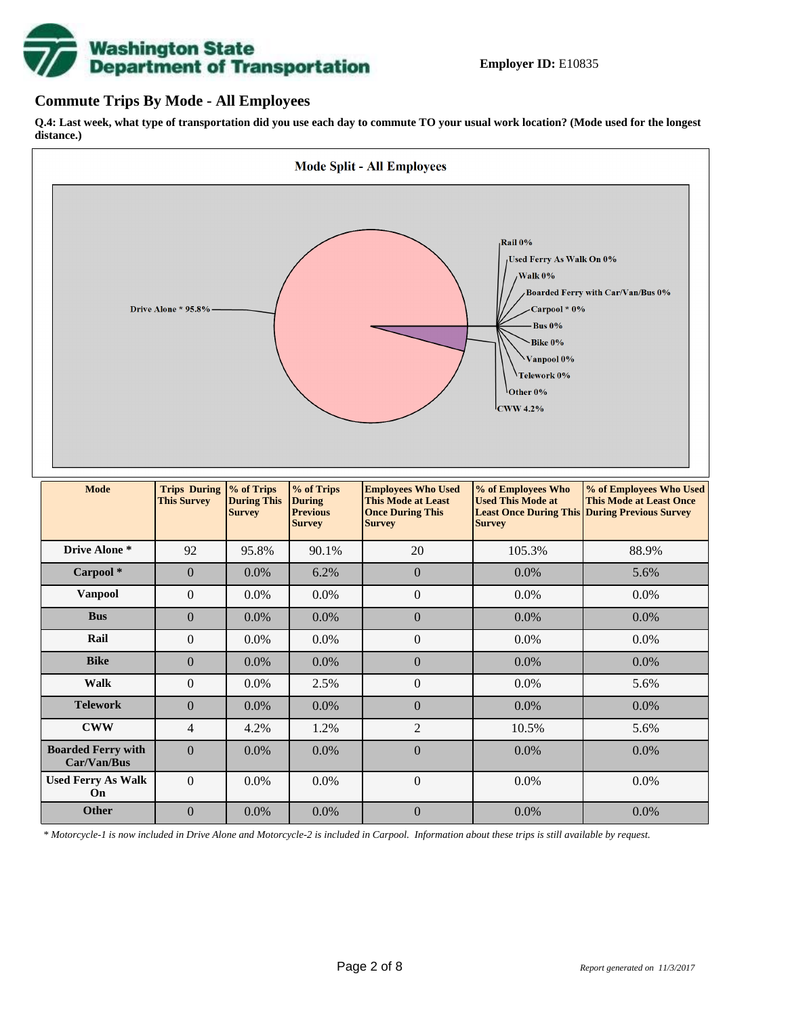# **Washington State<br>Department of Transportation**

#### **Commute Trips By Mode - All Employees**

**Q.4: Last week, what type of transportation did you use each day to commute TO your usual work location? (Mode used for the longest distance.)**



*\* Motorcycle-1 is now included in Drive Alone and Motorcycle-2 is included in Carpool. Information about these trips is still available by request.*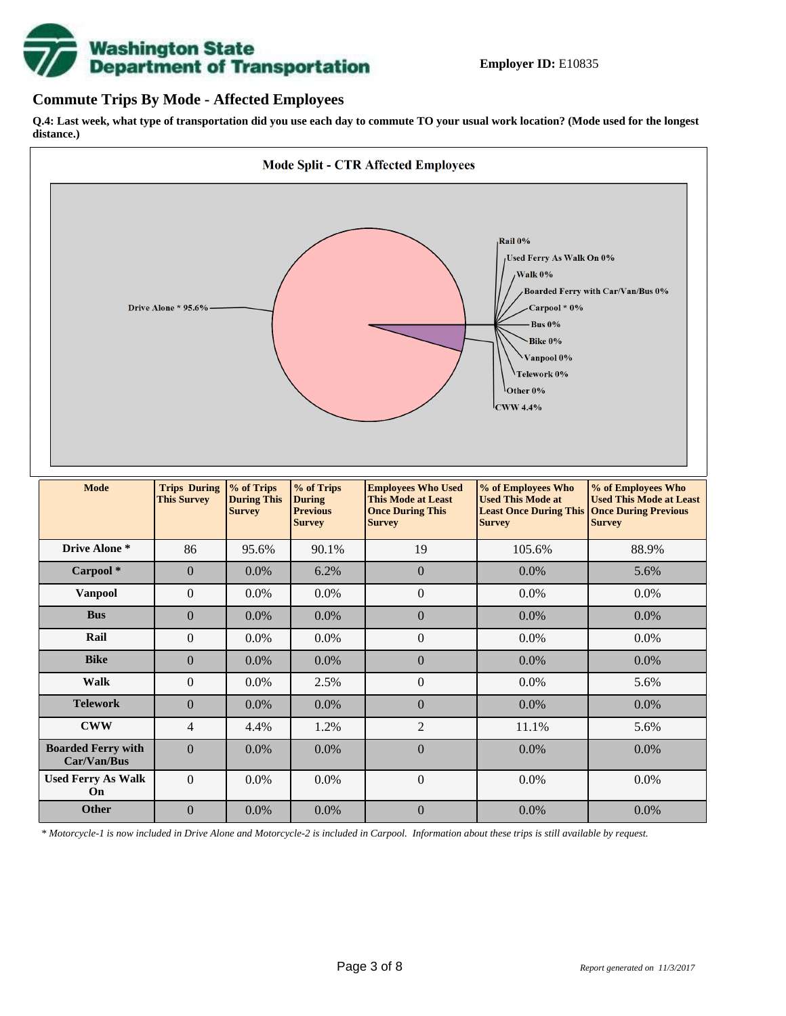

#### **Commute Trips By Mode - Affected Employees**

**Q.4: Last week, what type of transportation did you use each day to commute TO your usual work location? (Mode used for the longest distance.)**



*\* Motorcycle-1 is now included in Drive Alone and Motorcycle-2 is included in Carpool. Information about these trips is still available by request.*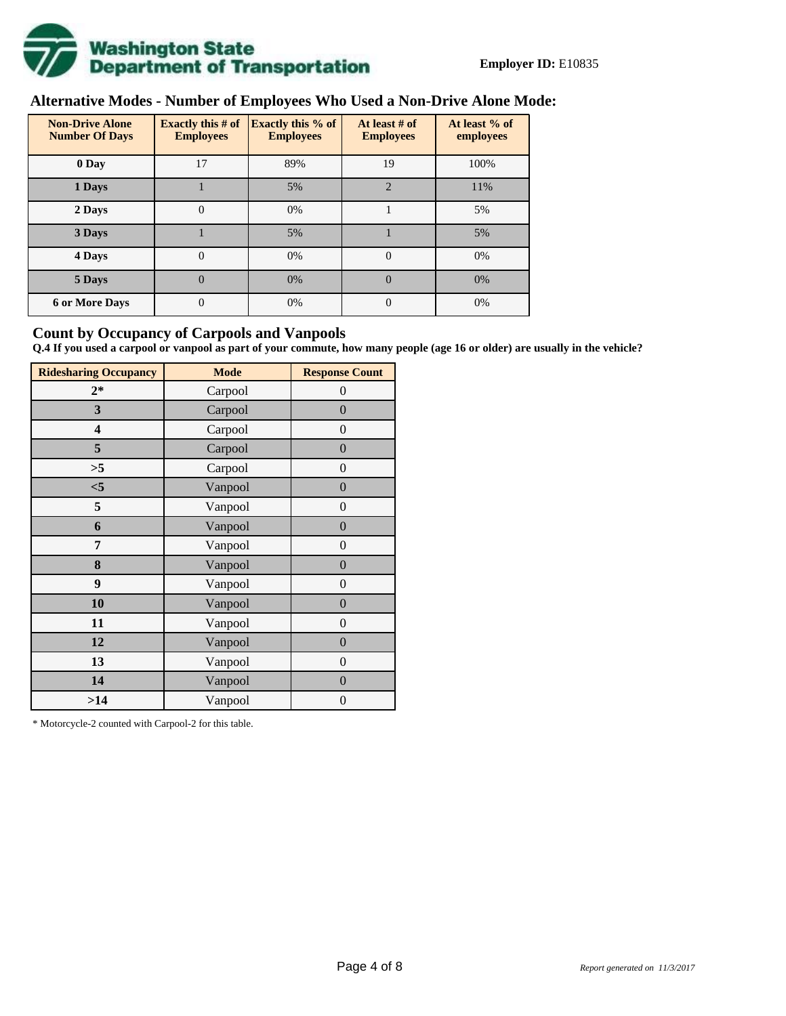

# **Alternative Modes - Number of Employees Who Used a Non-Drive Alone Mode:**

| <b>Non-Drive Alone</b><br><b>Number Of Days</b> | <b>Exactly this # of</b><br><b>Employees</b> | <b>Exactly this % of</b><br><b>Employees</b> | At least # of<br><b>Employees</b> | At least % of<br>employees |  |  |
|-------------------------------------------------|----------------------------------------------|----------------------------------------------|-----------------------------------|----------------------------|--|--|
| 0 Day                                           | 17                                           | 89%                                          | 19                                | 100%                       |  |  |
| 1 Days                                          |                                              | 5%                                           | $\overline{2}$                    | 11%                        |  |  |
| 2 Days                                          | $\overline{0}$                               | 0%                                           |                                   | 5%                         |  |  |
| 3 Days                                          |                                              | 5%                                           |                                   | 5%                         |  |  |
| 4 Days                                          | $\Omega$                                     | 0%                                           | $\Omega$                          | 0%                         |  |  |
| 5 Days                                          | 0                                            | 0%                                           | $\theta$                          | 0%                         |  |  |
| <b>6 or More Days</b>                           | 0                                            | 0%                                           | $\Omega$                          | 0%                         |  |  |

#### **Count by Occupancy of Carpools and Vanpools**

**Q.4 If you used a carpool or vanpool as part of your commute, how many people (age 16 or older) are usually in the vehicle?**

| <b>Ridesharing Occupancy</b> | <b>Mode</b> | <b>Response Count</b> |  |  |  |
|------------------------------|-------------|-----------------------|--|--|--|
| $2*$                         | Carpool     | $\theta$              |  |  |  |
| 3                            | Carpool     | $\boldsymbol{0}$      |  |  |  |
| 4                            | Carpool     | $\boldsymbol{0}$      |  |  |  |
| 5                            | Carpool     | $\boldsymbol{0}$      |  |  |  |
| >5                           | Carpool     | $\overline{0}$        |  |  |  |
| $<$ 5                        | Vanpool     | $\overline{0}$        |  |  |  |
| 5                            | Vanpool     | $\boldsymbol{0}$      |  |  |  |
| 6                            | Vanpool     | $\boldsymbol{0}$      |  |  |  |
| 7                            | Vanpool     | $\boldsymbol{0}$      |  |  |  |
| 8                            | Vanpool     | $\boldsymbol{0}$      |  |  |  |
| 9                            | Vanpool     | $\boldsymbol{0}$      |  |  |  |
| 10                           | Vanpool     | $\overline{0}$        |  |  |  |
| 11                           | Vanpool     | $\overline{0}$        |  |  |  |
| 12                           | Vanpool     | $\boldsymbol{0}$      |  |  |  |
| 13                           | Vanpool     | $\boldsymbol{0}$      |  |  |  |
| 14                           | Vanpool     | $\overline{0}$        |  |  |  |
| >14                          | Vanpool     | $\boldsymbol{0}$      |  |  |  |

\* Motorcycle-2 counted with Carpool-2 for this table.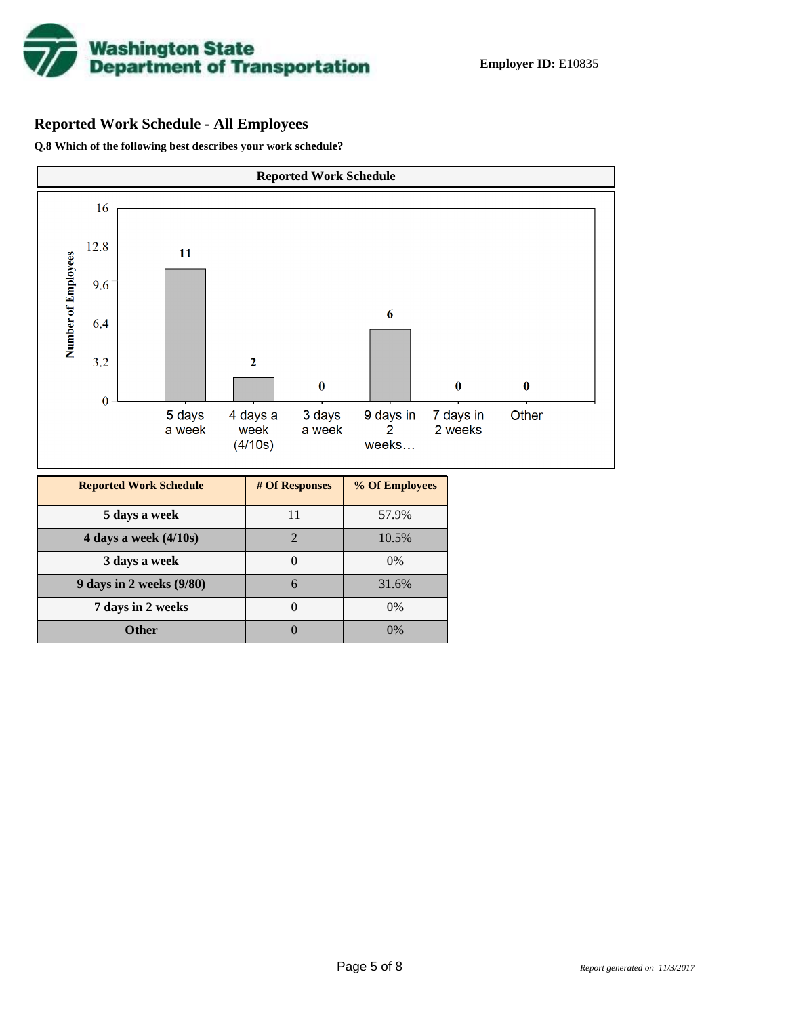

## **Reported Work Schedule - All Employees**

**Q.8 Which of the following best describes your work schedule?**

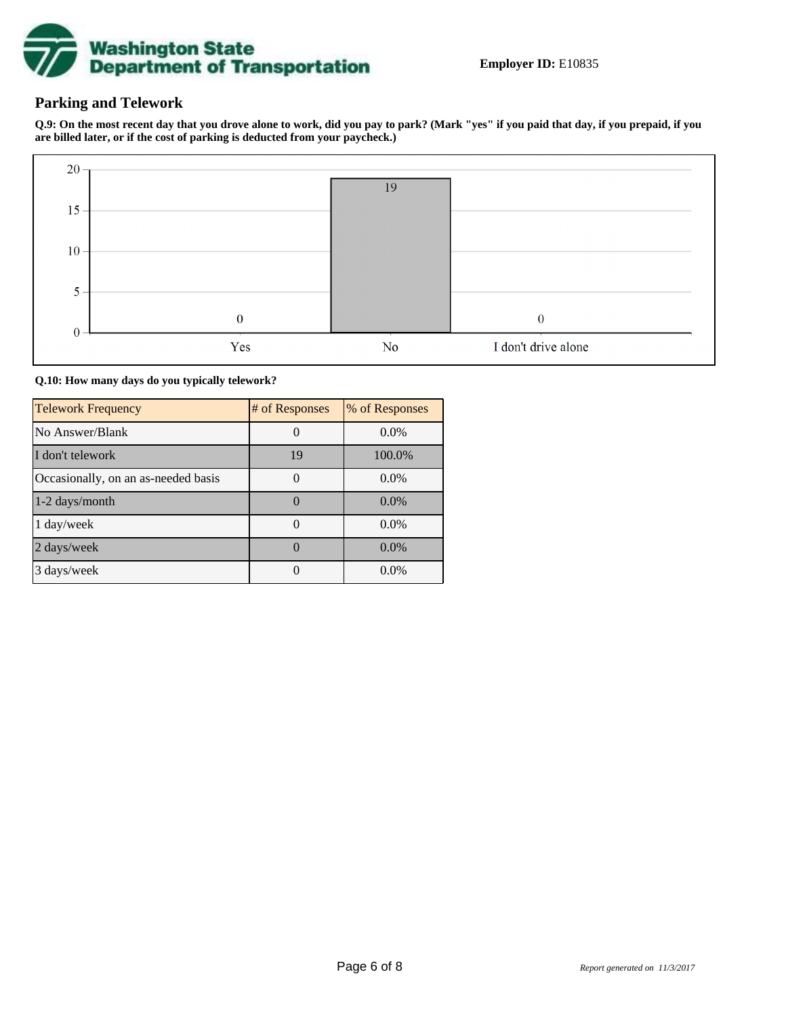

### **Parking and Telework**

**Q.9: On the most recent day that you drove alone to work, did you pay to park? (Mark "yes" if you paid that day, if you prepaid, if you are billed later, or if the cost of parking is deducted from your paycheck.)**



**Q.10: How many days do you typically telework?**

| <b>Telework Frequency</b>           | # of Responses | % of Responses |
|-------------------------------------|----------------|----------------|
| No Answer/Blank                     |                | $0.0\%$        |
| I don't telework                    | 19             | 100.0%         |
| Occasionally, on an as-needed basis |                | $0.0\%$        |
| 1-2 days/month                      |                | $0.0\%$        |
| 1 day/week                          |                | 0.0%           |
| 2 days/week                         |                | $0.0\%$        |
| 3 days/week                         |                | $0.0\%$        |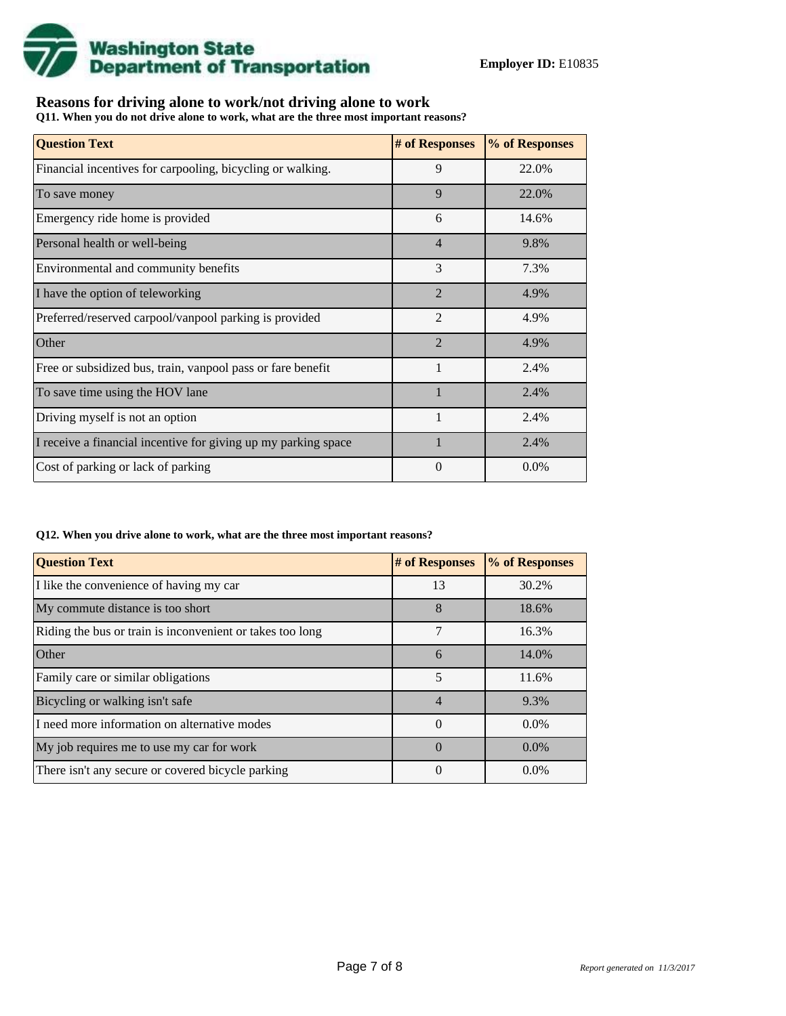

## **Reasons for driving alone to work/not driving alone to work**

**Q11. When you do not drive alone to work, what are the three most important reasons?**

| <b>Question Text</b>                                           | # of Responses | % of Responses |
|----------------------------------------------------------------|----------------|----------------|
| Financial incentives for carpooling, bicycling or walking.     | 9              | 22.0%          |
| To save money                                                  | 9              | 22.0%          |
| Emergency ride home is provided                                | 6              | 14.6%          |
| Personal health or well-being                                  | $\overline{4}$ | 9.8%           |
| Environmental and community benefits                           | 3              | 7.3%           |
| I have the option of teleworking                               | $\mathfrak{D}$ | 4.9%           |
| Preferred/reserved carpool/vanpool parking is provided         | $\overline{2}$ | 4.9%           |
| Other                                                          | $\overline{2}$ | 4.9%           |
| Free or subsidized bus, train, vanpool pass or fare benefit    | 1              | 2.4%           |
| To save time using the HOV lane                                | $\mathbf{1}$   | 2.4%           |
| Driving myself is not an option                                | $\mathbf{1}$   | 2.4%           |
| I receive a financial incentive for giving up my parking space |                | 2.4%           |
| Cost of parking or lack of parking                             | $\Omega$       | 0.0%           |

#### **Q12. When you drive alone to work, what are the three most important reasons?**

| <b>Question Text</b>                                      | # of Responses | % of Responses |
|-----------------------------------------------------------|----------------|----------------|
| I like the convenience of having my car                   | 13             | 30.2%          |
| My commute distance is too short                          | 8              | 18.6%          |
| Riding the bus or train is inconvenient or takes too long | 7              | 16.3%          |
| Other                                                     | 6              | 14.0%          |
| Family care or similar obligations                        | 5              | 11.6%          |
| Bicycling or walking isn't safe                           | $\overline{4}$ | 9.3%           |
| I need more information on alternative modes              | $\Omega$       | $0.0\%$        |
| My job requires me to use my car for work                 | $\Omega$       | $0.0\%$        |
| There isn't any secure or covered bicycle parking         | 0              | $0.0\%$        |